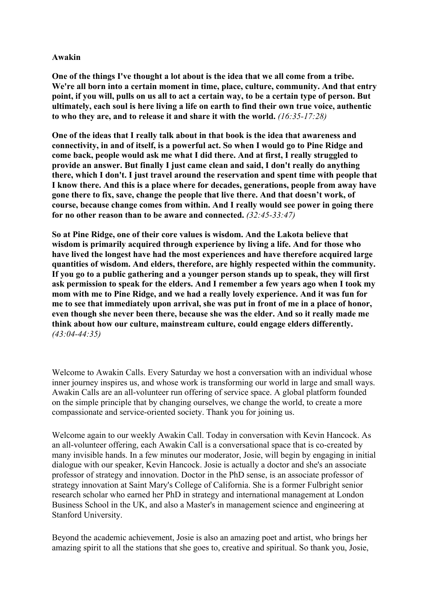## **Awakin**

**One of the things I've thought a lot about is the idea that we all come from a tribe. We're all born into a certain moment in time, place, culture, community. And that entry point, if you will, pulls on us all to act a certain way, to be a certain type of person. But ultimately, each soul is here living a life on earth to find their own true voice, authentic to who they are, and to release it and share it with the world.** *(16:35-17:28)*

**One of the ideas that I really talk about in that book is the idea that awareness and connectivity, in and of itself, is a powerful act. So when I would go to Pine Ridge and come back, people would ask me what I did there. And at first, I really struggled to provide an answer. But finally I just came clean and said, I don't really do anything there, which I don't. I just travel around the reservation and spent time with people that I know there. And this is a place where for decades, generations, people from away have gone there to fix, save, change the people that live there. And that doesn't work, of course, because change comes from within. And I really would see power in going there for no other reason than to be aware and connected.** *(32:45-33:47)*

**So at Pine Ridge, one of their core values is wisdom. And the Lakota believe that wisdom is primarily acquired through experience by living a life. And for those who have lived the longest have had the most experiences and have therefore acquired large quantities of wisdom. And elders, therefore, are highly respected within the community. If you go to a public gathering and a younger person stands up to speak, they will first ask permission to speak for the elders. And I remember a few years ago when I took my mom with me to Pine Ridge, and we had a really lovely experience. And it was fun for me to see that immediately upon arrival, she was put in front of me in a place of honor, even though she never been there, because she was the elder. And so it really made me think about how our culture, mainstream culture, could engage elders differently.**  *(43:04-44:35)*

Welcome to Awakin Calls. Every Saturday we host a conversation with an individual whose inner journey inspires us, and whose work is transforming our world in large and small ways. Awakin Calls are an all-volunteer run offering of service space. A global platform founded on the simple principle that by changing ourselves, we change the world, to create a more compassionate and service-oriented society. Thank you for joining us.

Welcome again to our weekly Awakin Call. Today in conversation with Kevin Hancock. As an all-volunteer offering, each Awakin Call is a conversational space that is co-created by many invisible hands. In a few minutes our moderator, Josie, will begin by engaging in initial dialogue with our speaker, Kevin Hancock. Josie is actually a doctor and she's an associate professor of strategy and innovation. Doctor in the PhD sense, is an associate professor of strategy innovation at Saint Mary's College of California. She is a former Fulbright senior research scholar who earned her PhD in strategy and international management at London Business School in the UK, and also a Master's in management science and engineering at Stanford University.

Beyond the academic achievement, Josie is also an amazing poet and artist, who brings her amazing spirit to all the stations that she goes to, creative and spiritual. So thank you, Josie,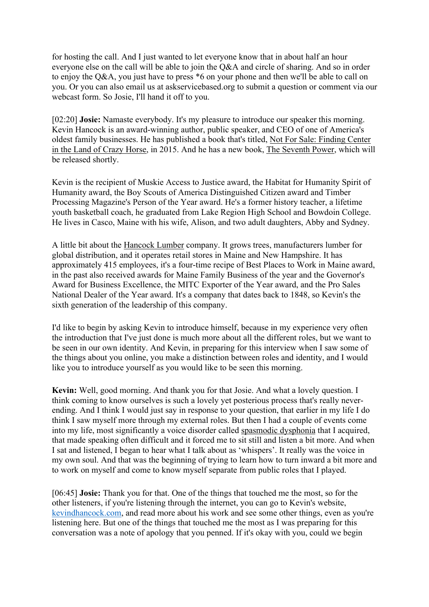for hosting the call. And I just wanted to let everyone know that in about half an hour everyone else on the call will be able to join the Q&A and circle of sharing. And so in order to enjoy the Q&A, you just have to press  $*6$  on your phone and then we'll be able to call on you. Or you can also email us at askservicebased.org to submit a question or comment via our webcast form. So Josie, I'll hand it off to you.

[02:20] **Josie:** Namaste everybody. It's my pleasure to introduce our speaker this morning. Kevin Hancock is an award-winning author, public speaker, and CEO of one of America's oldest family businesses. He has published a book that's titled, Not For Sale: Finding Center in the Land of Crazy Horse, in 2015. And he has a new book, The Seventh Power, which will be released shortly.

Kevin is the recipient of Muskie Access to Justice award, the Habitat for Humanity Spirit of Humanity award, the Boy Scouts of America Distinguished Citizen award and Timber Processing Magazine's Person of the Year award. He's a former history teacher, a lifetime youth basketball coach, he graduated from Lake Region High School and Bowdoin College. He lives in Casco, Maine with his wife, Alison, and two adult daughters, Abby and Sydney.

A little bit about the Hancock Lumber company. It grows trees, manufacturers lumber for global distribution, and it operates retail stores in Maine and New Hampshire. It has approximately 415 employees, it's a four-time recipe of Best Places to Work in Maine award, in the past also received awards for Maine Family Business of the year and the Governor's Award for Business Excellence, the MITC Exporter of the Year award, and the Pro Sales National Dealer of the Year award. It's a company that dates back to 1848, so Kevin's the sixth generation of the leadership of this company.

I'd like to begin by asking Kevin to introduce himself, because in my experience very often the introduction that I've just done is much more about all the different roles, but we want to be seen in our own identity. And Kevin, in preparing for this interview when I saw some of the things about you online, you make a distinction between roles and identity, and I would like you to introduce yourself as you would like to be seen this morning.

**Kevin:** Well, good morning. And thank you for that Josie. And what a lovely question. I think coming to know ourselves is such a lovely yet posterious process that's really neverending. And I think I would just say in response to your question, that earlier in my life I do think I saw myself more through my external roles. But then I had a couple of events come into my life, most significantly a voice disorder called spasmodic dysphonia that I acquired, that made speaking often difficult and it forced me to sit still and listen a bit more. And when I sat and listened, I began to hear what I talk about as 'whispers'. It really was the voice in my own soul. And that was the beginning of trying to learn how to turn inward a bit more and to work on myself and come to know myself separate from public roles that I played.

[06:45] **Josie:** Thank you for that. One of the things that touched me the most, so for the other listeners, if you're listening through the internet, you can go to Kevin's website, kevindhancock.com, and read more about his work and see some other things, even as you're listening here. But one of the things that touched me the most as I was preparing for this conversation was a note of apology that you penned. If it's okay with you, could we begin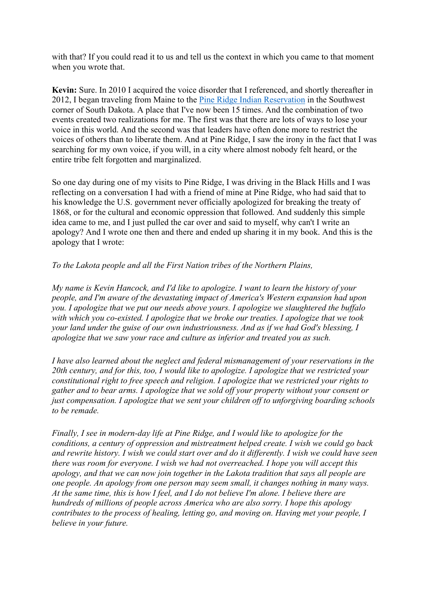with that? If you could read it to us and tell us the context in which you came to that moment when you wrote that.

**Kevin:** Sure. In 2010 I acquired the voice disorder that I referenced, and shortly thereafter in 2012, I began traveling from Maine to the Pine Ridge Indian Reservation in the Southwest corner of South Dakota. A place that I've now been 15 times. And the combination of two events created two realizations for me. The first was that there are lots of ways to lose your voice in this world. And the second was that leaders have often done more to restrict the voices of others than to liberate them. And at Pine Ridge, I saw the irony in the fact that I was searching for my own voice, if you will, in a city where almost nobody felt heard, or the entire tribe felt forgotten and marginalized.

So one day during one of my visits to Pine Ridge, I was driving in the Black Hills and I was reflecting on a conversation I had with a friend of mine at Pine Ridge, who had said that to his knowledge the U.S. government never officially apologized for breaking the treaty of 1868, or for the cultural and economic oppression that followed. And suddenly this simple idea came to me, and I just pulled the car over and said to myself, why can't I write an apology? And I wrote one then and there and ended up sharing it in my book. And this is the apology that I wrote:

## *To the Lakota people and all the First Nation tribes of the Northern Plains,*

*My name is Kevin Hancock, and I'd like to apologize. I want to learn the history of your people, and I'm aware of the devastating impact of America's Western expansion had upon you. I apologize that we put our needs above yours. I apologize we slaughtered the buffalo with which you co-existed. I apologize that we broke our treaties. I apologize that we took your land under the guise of our own industriousness. And as if we had God's blessing, I apologize that we saw your race and culture as inferior and treated you as such.* 

*I have also learned about the neglect and federal mismanagement of your reservations in the 20th century, and for this, too, I would like to apologize. I apologize that we restricted your constitutional right to free speech and religion. I apologize that we restricted your rights to gather and to bear arms. I apologize that we sold off your property without your consent or just compensation. I apologize that we sent your children off to unforgiving boarding schools to be remade.* 

*Finally, I see in modern-day life at Pine Ridge, and I would like to apologize for the conditions, a century of oppression and mistreatment helped create. I wish we could go back and rewrite history. I wish we could start over and do it differently. I wish we could have seen there was room for everyone. I wish we had not overreached. I hope you will accept this apology, and that we can now join together in the Lakota tradition that says all people are one people. An apology from one person may seem small, it changes nothing in many ways. At the same time, this is how I feel, and I do not believe I'm alone. I believe there are hundreds of millions of people across America who are also sorry. I hope this apology contributes to the process of healing, letting go, and moving on. Having met your people, I believe in your future.*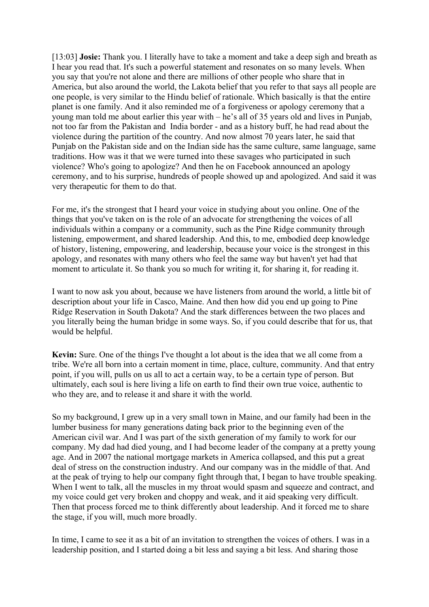[13:03] **Josie:** Thank you. I literally have to take a moment and take a deep sigh and breath as I hear you read that. It's such a powerful statement and resonates on so many levels. When you say that you're not alone and there are millions of other people who share that in America, but also around the world, the Lakota belief that you refer to that says all people are one people, is very similar to the Hindu belief of rationale. Which basically is that the entire planet is one family. And it also reminded me of a forgiveness or apology ceremony that a young man told me about earlier this year with – he's all of 35 years old and lives in Punjab, not too far from the Pakistan and India border - and as a history buff, he had read about the violence during the partition of the country. And now almost 70 years later, he said that Punjab on the Pakistan side and on the Indian side has the same culture, same language, same traditions. How was it that we were turned into these savages who participated in such violence? Who's going to apologize? And then he on Facebook announced an apology ceremony, and to his surprise, hundreds of people showed up and apologized. And said it was very therapeutic for them to do that.

For me, it's the strongest that I heard your voice in studying about you online. One of the things that you've taken on is the role of an advocate for strengthening the voices of all individuals within a company or a community, such as the Pine Ridge community through listening, empowerment, and shared leadership. And this, to me, embodied deep knowledge of history, listening, empowering, and leadership, because your voice is the strongest in this apology, and resonates with many others who feel the same way but haven't yet had that moment to articulate it. So thank you so much for writing it, for sharing it, for reading it.

I want to now ask you about, because we have listeners from around the world, a little bit of description about your life in Casco, Maine. And then how did you end up going to Pine Ridge Reservation in South Dakota? And the stark differences between the two places and you literally being the human bridge in some ways. So, if you could describe that for us, that would be helpful.

**Kevin:** Sure. One of the things I've thought a lot about is the idea that we all come from a tribe. We're all born into a certain moment in time, place, culture, community. And that entry point, if you will, pulls on us all to act a certain way, to be a certain type of person. But ultimately, each soul is here living a life on earth to find their own true voice, authentic to who they are, and to release it and share it with the world.

So my background, I grew up in a very small town in Maine, and our family had been in the lumber business for many generations dating back prior to the beginning even of the American civil war. And I was part of the sixth generation of my family to work for our company. My dad had died young, and I had become leader of the company at a pretty young age. And in 2007 the national mortgage markets in America collapsed, and this put a great deal of stress on the construction industry. And our company was in the middle of that. And at the peak of trying to help our company fight through that, I began to have trouble speaking. When I went to talk, all the muscles in my throat would spasm and squeeze and contract, and my voice could get very broken and choppy and weak, and it aid speaking very difficult. Then that process forced me to think differently about leadership. And it forced me to share the stage, if you will, much more broadly.

In time, I came to see it as a bit of an invitation to strengthen the voices of others. I was in a leadership position, and I started doing a bit less and saying a bit less. And sharing those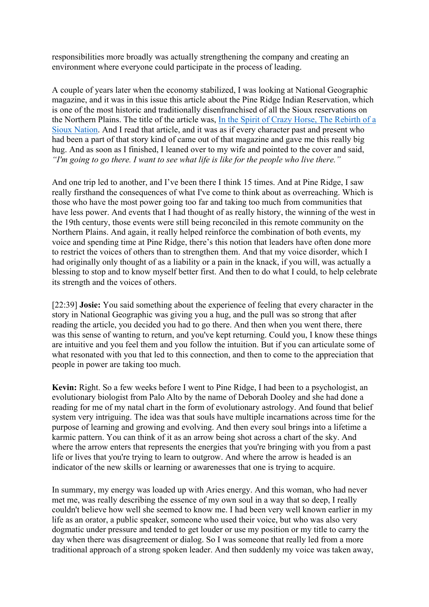responsibilities more broadly was actually strengthening the company and creating an environment where everyone could participate in the process of leading.

A couple of years later when the economy stabilized, I was looking at National Geographic magazine, and it was in this issue this article about the Pine Ridge Indian Reservation, which is one of the most historic and traditionally disenfranchised of all the Sioux reservations on the Northern Plains. The title of the article was, In the Spirit of Crazy Horse, The Rebirth of a Sioux Nation. And I read that article, and it was as if every character past and present who had been a part of that story kind of came out of that magazine and gave me this really big hug. And as soon as I finished, I leaned over to my wife and pointed to the cover and said, *"I'm going to go there. I want to see what life is like for the people who live there."*

And one trip led to another, and I've been there I think 15 times. And at Pine Ridge, I saw really firsthand the consequences of what I've come to think about as overreaching. Which is those who have the most power going too far and taking too much from communities that have less power. And events that I had thought of as really history, the winning of the west in the 19th century, those events were still being reconciled in this remote community on the Northern Plains. And again, it really helped reinforce the combination of both events, my voice and spending time at Pine Ridge, there's this notion that leaders have often done more to restrict the voices of others than to strengthen them. And that my voice disorder, which I had originally only thought of as a liability or a pain in the knack, if you will, was actually a blessing to stop and to know myself better first. And then to do what I could, to help celebrate its strength and the voices of others.

[22:39] **Josie:** You said something about the experience of feeling that every character in the story in National Geographic was giving you a hug, and the pull was so strong that after reading the article, you decided you had to go there. And then when you went there, there was this sense of wanting to return, and you've kept returning. Could you, I know these things are intuitive and you feel them and you follow the intuition. But if you can articulate some of what resonated with you that led to this connection, and then to come to the appreciation that people in power are taking too much.

**Kevin:** Right. So a few weeks before I went to Pine Ridge, I had been to a psychologist, an evolutionary biologist from Palo Alto by the name of Deborah Dooley and she had done a reading for me of my natal chart in the form of evolutionary astrology. And found that belief system very intriguing. The idea was that souls have multiple incarnations across time for the purpose of learning and growing and evolving. And then every soul brings into a lifetime a karmic pattern. You can think of it as an arrow being shot across a chart of the sky. And where the arrow enters that represents the energies that you're bringing with you from a past life or lives that you're trying to learn to outgrow. And where the arrow is headed is an indicator of the new skills or learning or awarenesses that one is trying to acquire.

In summary, my energy was loaded up with Aries energy. And this woman, who had never met me, was really describing the essence of my own soul in a way that so deep, I really couldn't believe how well she seemed to know me. I had been very well known earlier in my life as an orator, a public speaker, someone who used their voice, but who was also very dogmatic under pressure and tended to get louder or use my position or my title to carry the day when there was disagreement or dialog. So I was someone that really led from a more traditional approach of a strong spoken leader. And then suddenly my voice was taken away,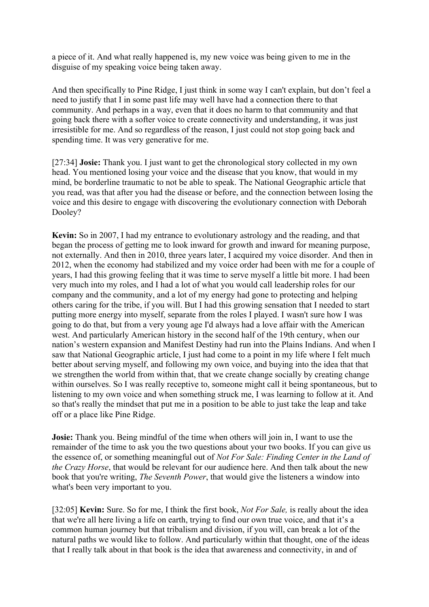a piece of it. And what really happened is, my new voice was being given to me in the disguise of my speaking voice being taken away.

And then specifically to Pine Ridge, I just think in some way I can't explain, but don't feel a need to justify that I in some past life may well have had a connection there to that community. And perhaps in a way, even that it does no harm to that community and that going back there with a softer voice to create connectivity and understanding, it was just irresistible for me. And so regardless of the reason, I just could not stop going back and spending time. It was very generative for me.

[27:34] **Josie:** Thank you. I just want to get the chronological story collected in my own head. You mentioned losing your voice and the disease that you know, that would in my mind, be borderline traumatic to not be able to speak. The National Geographic article that you read, was that after you had the disease or before, and the connection between losing the voice and this desire to engage with discovering the evolutionary connection with Deborah Dooley?

**Kevin:** So in 2007, I had my entrance to evolutionary astrology and the reading, and that began the process of getting me to look inward for growth and inward for meaning purpose, not externally. And then in 2010, three years later, I acquired my voice disorder. And then in 2012, when the economy had stabilized and my voice order had been with me for a couple of years, I had this growing feeling that it was time to serve myself a little bit more. I had been very much into my roles, and I had a lot of what you would call leadership roles for our company and the community, and a lot of my energy had gone to protecting and helping others caring for the tribe, if you will. But I had this growing sensation that I needed to start putting more energy into myself, separate from the roles I played. I wasn't sure how I was going to do that, but from a very young age I'd always had a love affair with the American west. And particularly American history in the second half of the 19th century, when our nation's western expansion and Manifest Destiny had run into the Plains Indians. And when I saw that National Geographic article, I just had come to a point in my life where I felt much better about serving myself, and following my own voice, and buying into the idea that that we strengthen the world from within that, that we create change socially by creating change within ourselves. So I was really receptive to, someone might call it being spontaneous, but to listening to my own voice and when something struck me, I was learning to follow at it. And so that's really the mindset that put me in a position to be able to just take the leap and take off or a place like Pine Ridge.

**Josie:** Thank you. Being mindful of the time when others will join in, I want to use the remainder of the time to ask you the two questions about your two books. If you can give us the essence of, or something meaningful out of *Not For Sale: Finding Center in the Land of the Crazy Horse*, that would be relevant for our audience here. And then talk about the new book that you're writing, *The Seventh Power*, that would give the listeners a window into what's been very important to you.

[32:05] **Kevin:** Sure. So for me, I think the first book, *Not For Sale,* is really about the idea that we're all here living a life on earth, trying to find our own true voice, and that it's a common human journey but that tribalism and division, if you will, can break a lot of the natural paths we would like to follow. And particularly within that thought, one of the ideas that I really talk about in that book is the idea that awareness and connectivity, in and of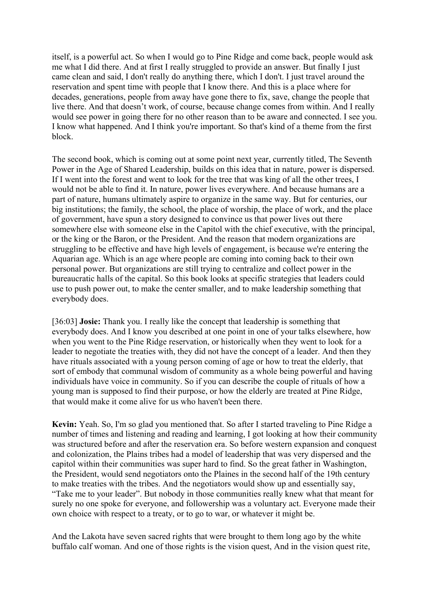itself, is a powerful act. So when I would go to Pine Ridge and come back, people would ask me what I did there. And at first I really struggled to provide an answer. But finally I just came clean and said, I don't really do anything there, which I don't. I just travel around the reservation and spent time with people that I know there. And this is a place where for decades, generations, people from away have gone there to fix, save, change the people that live there. And that doesn't work, of course, because change comes from within. And I really would see power in going there for no other reason than to be aware and connected. I see you. I know what happened. And I think you're important. So that's kind of a theme from the first block.

The second book, which is coming out at some point next year, currently titled, The Seventh Power in the Age of Shared Leadership, builds on this idea that in nature, power is dispersed. If I went into the forest and went to look for the tree that was king of all the other trees, I would not be able to find it. In nature, power lives everywhere. And because humans are a part of nature, humans ultimately aspire to organize in the same way. But for centuries, our big institutions; the family, the school, the place of worship, the place of work, and the place of government, have spun a story designed to convince us that power lives out there somewhere else with someone else in the Capitol with the chief executive, with the principal, or the king or the Baron, or the President. And the reason that modern organizations are struggling to be effective and have high levels of engagement, is because we're entering the Aquarian age. Which is an age where people are coming into coming back to their own personal power. But organizations are still trying to centralize and collect power in the bureaucratic halls of the capital. So this book looks at specific strategies that leaders could use to push power out, to make the center smaller, and to make leadership something that everybody does.

[36:03] **Josie:** Thank you. I really like the concept that leadership is something that everybody does. And I know you described at one point in one of your talks elsewhere, how when you went to the Pine Ridge reservation, or historically when they went to look for a leader to negotiate the treaties with, they did not have the concept of a leader. And then they have rituals associated with a young person coming of age or how to treat the elderly, that sort of embody that communal wisdom of community as a whole being powerful and having individuals have voice in community. So if you can describe the couple of rituals of how a young man is supposed to find their purpose, or how the elderly are treated at Pine Ridge, that would make it come alive for us who haven't been there.

**Kevin:** Yeah. So, I'm so glad you mentioned that. So after I started traveling to Pine Ridge a number of times and listening and reading and learning, I got looking at how their community was structured before and after the reservation era. So before western expansion and conquest and colonization, the Plains tribes had a model of leadership that was very dispersed and the capitol within their communities was super hard to find. So the great father in Washington, the President, would send negotiators onto the Plaines in the second half of the 19th century to make treaties with the tribes. And the negotiators would show up and essentially say, "Take me to your leader". But nobody in those communities really knew what that meant for surely no one spoke for everyone, and followership was a voluntary act. Everyone made their own choice with respect to a treaty, or to go to war, or whatever it might be.

And the Lakota have seven sacred rights that were brought to them long ago by the white buffalo calf woman. And one of those rights is the vision quest, And in the vision quest rite,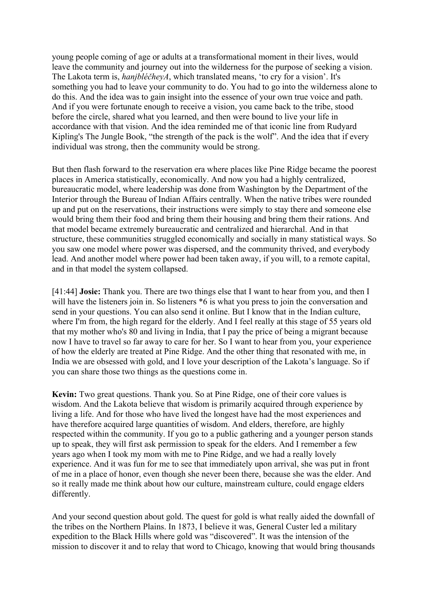young people coming of age or adults at a transformational moment in their lives, would leave the community and journey out into the wilderness for the purpose of seeking a vision. The Lakota term is, *hanjbléčheyA*, which translated means, 'to cry for a vision'. It's something you had to leave your community to do. You had to go into the wilderness alone to do this. And the idea was to gain insight into the essence of your own true voice and path. And if you were fortunate enough to receive a vision, you came back to the tribe, stood before the circle, shared what you learned, and then were bound to live your life in accordance with that vision. And the idea reminded me of that iconic line from Rudyard Kipling's The Jungle Book, "the strength of the pack is the wolf". And the idea that if every individual was strong, then the community would be strong.

But then flash forward to the reservation era where places like Pine Ridge became the poorest places in America statistically, economically. And now you had a highly centralized, bureaucratic model, where leadership was done from Washington by the Department of the Interior through the Bureau of Indian Affairs centrally. When the native tribes were rounded up and put on the reservations, their instructions were simply to stay there and someone else would bring them their food and bring them their housing and bring them their rations. And that model became extremely bureaucratic and centralized and hierarchal. And in that structure, these communities struggled economically and socially in many statistical ways. So you saw one model where power was dispersed, and the community thrived, and everybody lead. And another model where power had been taken away, if you will, to a remote capital, and in that model the system collapsed.

[41:44] **Josie:** Thank you. There are two things else that I want to hear from you, and then I will have the listeners join in. So listeners  $*6$  is what you press to join the conversation and send in your questions. You can also send it online. But I know that in the Indian culture, where I'm from, the high regard for the elderly. And I feel really at this stage of 55 years old that my mother who's 80 and living in India, that I pay the price of being a migrant because now I have to travel so far away to care for her. So I want to hear from you, your experience of how the elderly are treated at Pine Ridge. And the other thing that resonated with me, in India we are obsessed with gold, and I love your description of the Lakota's language. So if you can share those two things as the questions come in.

**Kevin:** Two great questions. Thank you. So at Pine Ridge, one of their core values is wisdom. And the Lakota believe that wisdom is primarily acquired through experience by living a life. And for those who have lived the longest have had the most experiences and have therefore acquired large quantities of wisdom. And elders, therefore, are highly respected within the community. If you go to a public gathering and a younger person stands up to speak, they will first ask permission to speak for the elders. And I remember a few years ago when I took my mom with me to Pine Ridge, and we had a really lovely experience. And it was fun for me to see that immediately upon arrival, she was put in front of me in a place of honor, even though she never been there, because she was the elder. And so it really made me think about how our culture, mainstream culture, could engage elders differently.

And your second question about gold. The quest for gold is what really aided the downfall of the tribes on the Northern Plains. In 1873, I believe it was, General Custer led a military expedition to the Black Hills where gold was "discovered". It was the intension of the mission to discover it and to relay that word to Chicago, knowing that would bring thousands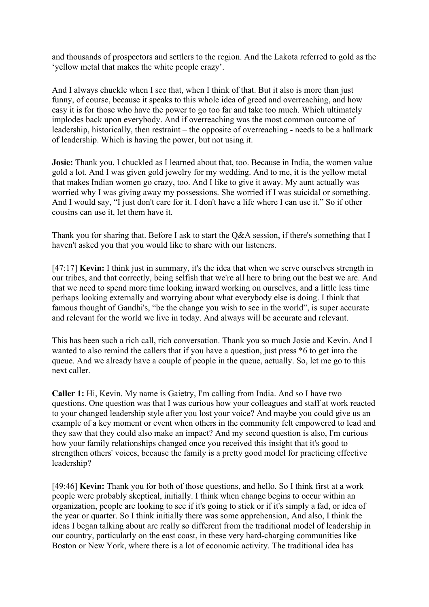and thousands of prospectors and settlers to the region. And the Lakota referred to gold as the 'yellow metal that makes the white people crazy'.

And I always chuckle when I see that, when I think of that. But it also is more than just funny, of course, because it speaks to this whole idea of greed and overreaching, and how easy it is for those who have the power to go too far and take too much. Which ultimately implodes back upon everybody. And if overreaching was the most common outcome of leadership, historically, then restraint – the opposite of overreaching - needs to be a hallmark of leadership. Which is having the power, but not using it.

**Josie:** Thank you. I chuckled as I learned about that, too. Because in India, the women value gold a lot. And I was given gold jewelry for my wedding. And to me, it is the yellow metal that makes Indian women go crazy, too. And I like to give it away. My aunt actually was worried why I was giving away my possessions. She worried if I was suicidal or something. And I would say, "I just don't care for it. I don't have a life where I can use it." So if other cousins can use it, let them have it.

Thank you for sharing that. Before I ask to start the Q&A session, if there's something that I haven't asked you that you would like to share with our listeners.

[47:17] **Kevin:** I think just in summary, it's the idea that when we serve ourselves strength in our tribes, and that correctly, being selfish that we're all here to bring out the best we are. And that we need to spend more time looking inward working on ourselves, and a little less time perhaps looking externally and worrying about what everybody else is doing. I think that famous thought of Gandhi's, "be the change you wish to see in the world", is super accurate and relevant for the world we live in today. And always will be accurate and relevant.

This has been such a rich call, rich conversation. Thank you so much Josie and Kevin. And I wanted to also remind the callers that if you have a question, just press \*6 to get into the queue. And we already have a couple of people in the queue, actually. So, let me go to this next caller.

**Caller 1:** Hi, Kevin. My name is Gaietry, I'm calling from India. And so I have two questions. One question was that I was curious how your colleagues and staff at work reacted to your changed leadership style after you lost your voice? And maybe you could give us an example of a key moment or event when others in the community felt empowered to lead and they saw that they could also make an impact? And my second question is also, I'm curious how your family relationships changed once you received this insight that it's good to strengthen others' voices, because the family is a pretty good model for practicing effective leadership?

[49:46] **Kevin:** Thank you for both of those questions, and hello. So I think first at a work people were probably skeptical, initially. I think when change begins to occur within an organization, people are looking to see if it's going to stick or if it's simply a fad, or idea of the year or quarter. So I think initially there was some apprehension, And also, I think the ideas I began talking about are really so different from the traditional model of leadership in our country, particularly on the east coast, in these very hard-charging communities like Boston or New York, where there is a lot of economic activity. The traditional idea has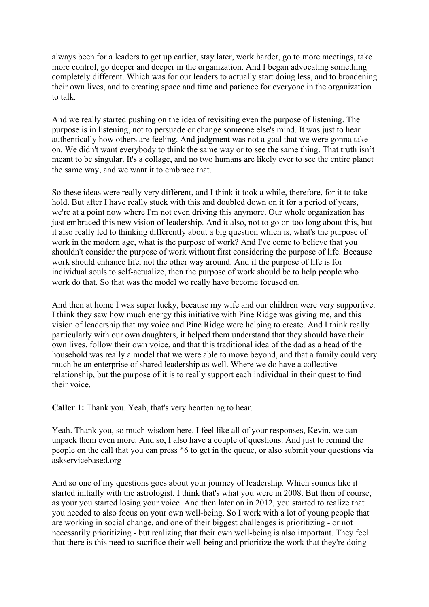always been for a leaders to get up earlier, stay later, work harder, go to more meetings, take more control, go deeper and deeper in the organization. And I began advocating something completely different. Which was for our leaders to actually start doing less, and to broadening their own lives, and to creating space and time and patience for everyone in the organization to talk.

And we really started pushing on the idea of revisiting even the purpose of listening. The purpose is in listening, not to persuade or change someone else's mind. It was just to hear authentically how others are feeling. And judgment was not a goal that we were gonna take on. We didn't want everybody to think the same way or to see the same thing. That truth isn't meant to be singular. It's a collage, and no two humans are likely ever to see the entire planet the same way, and we want it to embrace that.

So these ideas were really very different, and I think it took a while, therefore, for it to take hold. But after I have really stuck with this and doubled down on it for a period of years, we're at a point now where I'm not even driving this anymore. Our whole organization has just embraced this new vision of leadership. And it also, not to go on too long about this, but it also really led to thinking differently about a big question which is, what's the purpose of work in the modern age, what is the purpose of work? And I've come to believe that you shouldn't consider the purpose of work without first considering the purpose of life. Because work should enhance life, not the other way around. And if the purpose of life is for individual souls to self-actualize, then the purpose of work should be to help people who work do that. So that was the model we really have become focused on.

And then at home I was super lucky, because my wife and our children were very supportive. I think they saw how much energy this initiative with Pine Ridge was giving me, and this vision of leadership that my voice and Pine Ridge were helping to create. And I think really particularly with our own daughters, it helped them understand that they should have their own lives, follow their own voice, and that this traditional idea of the dad as a head of the household was really a model that we were able to move beyond, and that a family could very much be an enterprise of shared leadership as well. Where we do have a collective relationship, but the purpose of it is to really support each individual in their quest to find their voice.

**Caller 1:** Thank you. Yeah, that's very heartening to hear.

Yeah. Thank you, so much wisdom here. I feel like all of your responses, Kevin, we can unpack them even more. And so, I also have a couple of questions. And just to remind the people on the call that you can press \*6 to get in the queue, or also submit your questions via askservicebased.org

And so one of my questions goes about your journey of leadership. Which sounds like it started initially with the astrologist. I think that's what you were in 2008. But then of course, as your you started losing your voice. And then later on in 2012, you started to realize that you needed to also focus on your own well-being. So I work with a lot of young people that are working in social change, and one of their biggest challenges is prioritizing - or not necessarily prioritizing - but realizing that their own well-being is also important. They feel that there is this need to sacrifice their well-being and prioritize the work that they're doing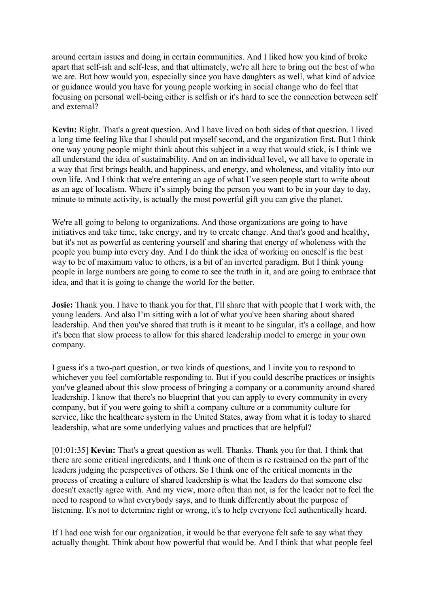around certain issues and doing in certain communities. And I liked how you kind of broke apart that self-ish and self-less, and that ultimately, we're all here to bring out the best of who we are. But how would you, especially since you have daughters as well, what kind of advice or guidance would you have for young people working in social change who do feel that focusing on personal well-being either is selfish or it's hard to see the connection between self and external?

**Kevin:** Right. That's a great question. And I have lived on both sides of that question. I lived a long time feeling like that I should put myself second, and the organization first. But I think one way young people might think about this subject in a way that would stick, is I think we all understand the idea of sustainability. And on an individual level, we all have to operate in a way that first brings health, and happiness, and energy, and wholeness, and vitality into our own life. And I think that we're entering an age of what I've seen people start to write about as an age of localism. Where it's simply being the person you want to be in your day to day, minute to minute activity, is actually the most powerful gift you can give the planet.

We're all going to belong to organizations. And those organizations are going to have initiatives and take time, take energy, and try to create change. And that's good and healthy, but it's not as powerful as centering yourself and sharing that energy of wholeness with the people you bump into every day. And I do think the idea of working on oneself is the best way to be of maximum value to others, is a bit of an inverted paradigm. But I think young people in large numbers are going to come to see the truth in it, and are going to embrace that idea, and that it is going to change the world for the better.

**Josie:** Thank you. I have to thank you for that, I'll share that with people that I work with, the young leaders. And also I'm sitting with a lot of what you've been sharing about shared leadership. And then you've shared that truth is it meant to be singular, it's a collage, and how it's been that slow process to allow for this shared leadership model to emerge in your own company.

I guess it's a two-part question, or two kinds of questions, and I invite you to respond to whichever you feel comfortable responding to. But if you could describe practices or insights you've gleaned about this slow process of bringing a company or a community around shared leadership. I know that there's no blueprint that you can apply to every community in every company, but if you were going to shift a company culture or a community culture for service, like the healthcare system in the United States, away from what it is today to shared leadership, what are some underlying values and practices that are helpful?

[01:01:35] **Kevin:** That's a great question as well. Thanks. Thank you for that. I think that there are some critical ingredients, and I think one of them is re restrained on the part of the leaders judging the perspectives of others. So I think one of the critical moments in the process of creating a culture of shared leadership is what the leaders do that someone else doesn't exactly agree with. And my view, more often than not, is for the leader not to feel the need to respond to what everybody says, and to think differently about the purpose of listening. It's not to determine right or wrong, it's to help everyone feel authentically heard.

If I had one wish for our organization, it would be that everyone felt safe to say what they actually thought. Think about how powerful that would be. And I think that what people feel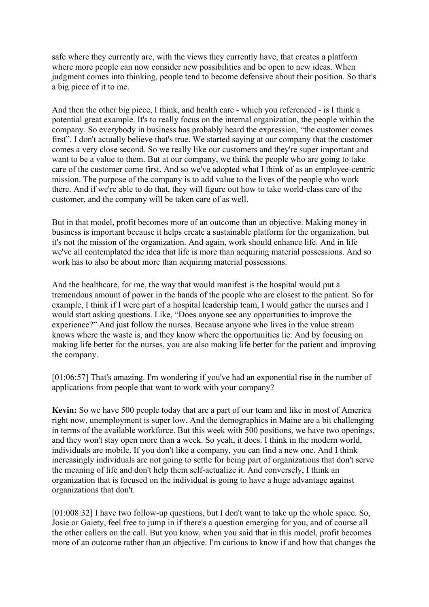safe where they currently are, with the views they currently have, that creates a platform where more people can now consider new possibilities and be open to new ideas. When judgment comes into thinking, people tend to become defensive about their position. So that's a big piece of it to me.

And then the other big piece, I think, and health care - which you referenced - is I think a potential great example. It's to really focus on the internal organization, the people within the company. So everybody in business has probably heard the expression, "the customer comes first". I don't actually believe that's true. We started saying at our company that the customer comes a very close second. So we really like our customers and they're super important and want to be a value to them. But at our company, we think the people who are going to take care of the customer come first. And so we've adopted what I think of as an employee-centric mission. The purpose of the company is to add value to the lives of the people who work there. And if we're able to do that, they will figure out how to take world-class care of the customer, and the company will be taken care of as well.

But in that model, profit becomes more of an outcome than an objective. Making money in business is important because it helps create a sustainable platform for the organization, but it's not the mission of the organization. And again, work should enhance life. And in life we've all contemplated the idea that life is more than acquiring material possessions. And so work has to also be about more than acquiring material possessions.

And the healthcare, for me, the way that would manifest is the hospital would put a tremendous amount of power in the hands of the people who are closest to the patient. So for example, I think if I were part of a hospital leadership team, I would gather the nurses and I would start asking questions. Like, "Does anyone see any opportunities to improve the experience?" And just follow the nurses. Because anyone who lives in the value stream knows where the waste is, and they know where the opportunities lie. And by focusing on making life better for the nurses, you are also making life better for the patient and improving the company.

[01:06:57] That's amazing. I'm wondering if you've had an exponential rise in the number of applications from people that want to work with your company?

**Kevin:** So we have 500 people today that are a part of our team and like in most of America right now, unemployment is super low. And the demographics in Maine are a bit challenging in terms of the available workforce. But this week with 500 positions, we have two openings, and they won't stay open more than a week. So yeah, it does. I think in the modern world, individuals are mobile. If you don't like a company, you can find a new one. And I think increasingly individuals are not going to settle for being part of organizations that don't serve the meaning of life and don't help them self-actualize it. And conversely, I think an organization that is focused on the individual is going to have a huge advantage against organizations that don't.

[01:008:32] I have two follow-up questions, but I don't want to take up the whole space. So, Josie or Gaiety, feel free to jump in if there's a question emerging for you, and of course all the other callers on the call. But you know, when you said that in this model, profit becomes more of an outcome rather than an objective. I'm curious to know if and how that changes the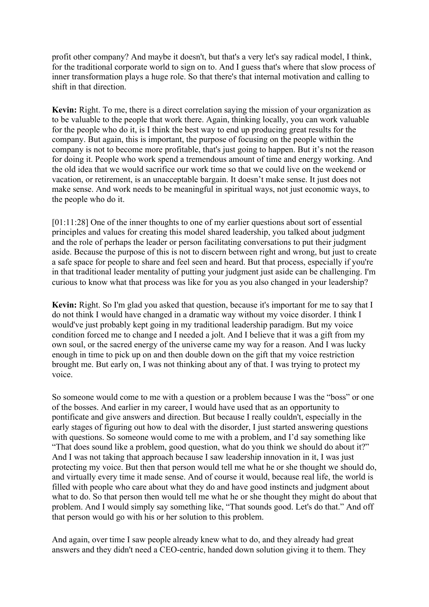profit other company? And maybe it doesn't, but that's a very let's say radical model, I think, for the traditional corporate world to sign on to. And I guess that's where that slow process of inner transformation plays a huge role. So that there's that internal motivation and calling to shift in that direction.

**Kevin:** Right. To me, there is a direct correlation saying the mission of your organization as to be valuable to the people that work there. Again, thinking locally, you can work valuable for the people who do it, is I think the best way to end up producing great results for the company. But again, this is important, the purpose of focusing on the people within the company is not to become more profitable, that's just going to happen. But it's not the reason for doing it. People who work spend a tremendous amount of time and energy working. And the old idea that we would sacrifice our work time so that we could live on the weekend or vacation, or retirement, is an unacceptable bargain. It doesn't make sense. It just does not make sense. And work needs to be meaningful in spiritual ways, not just economic ways, to the people who do it.

[01:11:28] One of the inner thoughts to one of my earlier questions about sort of essential principles and values for creating this model shared leadership, you talked about judgment and the role of perhaps the leader or person facilitating conversations to put their judgment aside. Because the purpose of this is not to discern between right and wrong, but just to create a safe space for people to share and feel seen and heard. But that process, especially if you're in that traditional leader mentality of putting your judgment just aside can be challenging. I'm curious to know what that process was like for you as you also changed in your leadership?

**Kevin:** Right. So I'm glad you asked that question, because it's important for me to say that I do not think I would have changed in a dramatic way without my voice disorder. I think I would've just probably kept going in my traditional leadership paradigm. But my voice condition forced me to change and I needed a jolt. And I believe that it was a gift from my own soul, or the sacred energy of the universe came my way for a reason. And I was lucky enough in time to pick up on and then double down on the gift that my voice restriction brought me. But early on, I was not thinking about any of that. I was trying to protect my voice.

So someone would come to me with a question or a problem because I was the "boss" or one of the bosses. And earlier in my career, I would have used that as an opportunity to pontificate and give answers and direction. But because I really couldn't, especially in the early stages of figuring out how to deal with the disorder, I just started answering questions with questions. So someone would come to me with a problem, and I'd say something like "That does sound like a problem, good question, what do you think we should do about it?" And I was not taking that approach because I saw leadership innovation in it, I was just protecting my voice. But then that person would tell me what he or she thought we should do, and virtually every time it made sense. And of course it would, because real life, the world is filled with people who care about what they do and have good instincts and judgment about what to do. So that person then would tell me what he or she thought they might do about that problem. And I would simply say something like, "That sounds good. Let's do that." And off that person would go with his or her solution to this problem.

And again, over time I saw people already knew what to do, and they already had great answers and they didn't need a CEO-centric, handed down solution giving it to them. They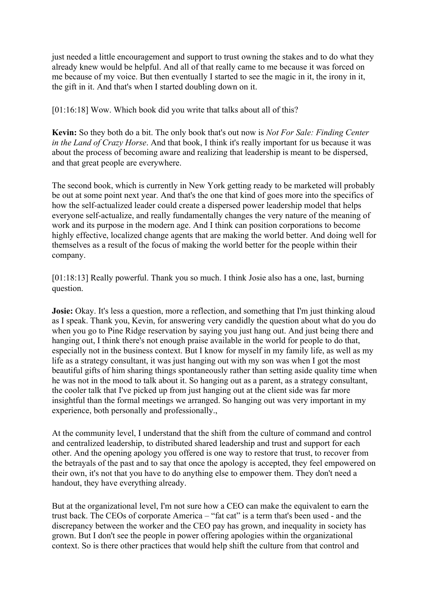just needed a little encouragement and support to trust owning the stakes and to do what they already knew would be helpful. And all of that really came to me because it was forced on me because of my voice. But then eventually I started to see the magic in it, the irony in it, the gift in it. And that's when I started doubling down on it.

[01:16:18] Wow. Which book did you write that talks about all of this?

**Kevin:** So they both do a bit. The only book that's out now is *Not For Sale: Finding Center in the Land of Crazy Horse*. And that book, I think it's really important for us because it was about the process of becoming aware and realizing that leadership is meant to be dispersed, and that great people are everywhere.

The second book, which is currently in New York getting ready to be marketed will probably be out at some point next year. And that's the one that kind of goes more into the specifics of how the self-actualized leader could create a dispersed power leadership model that helps everyone self-actualize, and really fundamentally changes the very nature of the meaning of work and its purpose in the modern age. And I think can position corporations to become highly effective, localized change agents that are making the world better. And doing well for themselves as a result of the focus of making the world better for the people within their company.

[01:18:13] Really powerful. Thank you so much. I think Josie also has a one, last, burning question.

**Josie:** Okay. It's less a question, more a reflection, and something that I'm just thinking aloud as I speak. Thank you, Kevin, for answering very candidly the question about what do you do when you go to Pine Ridge reservation by saying you just hang out. And just being there and hanging out, I think there's not enough praise available in the world for people to do that, especially not in the business context. But I know for myself in my family life, as well as my life as a strategy consultant, it was just hanging out with my son was when I got the most beautiful gifts of him sharing things spontaneously rather than setting aside quality time when he was not in the mood to talk about it. So hanging out as a parent, as a strategy consultant, the cooler talk that I've picked up from just hanging out at the client side was far more insightful than the formal meetings we arranged. So hanging out was very important in my experience, both personally and professionally.,

At the community level, I understand that the shift from the culture of command and control and centralized leadership, to distributed shared leadership and trust and support for each other. And the opening apology you offered is one way to restore that trust, to recover from the betrayals of the past and to say that once the apology is accepted, they feel empowered on their own, it's not that you have to do anything else to empower them. They don't need a handout, they have everything already.

But at the organizational level, I'm not sure how a CEO can make the equivalent to earn the trust back. The CEOs of corporate America – "fat cat" is a term that's been used - and the discrepancy between the worker and the CEO pay has grown, and inequality in society has grown. But I don't see the people in power offering apologies within the organizational context. So is there other practices that would help shift the culture from that control and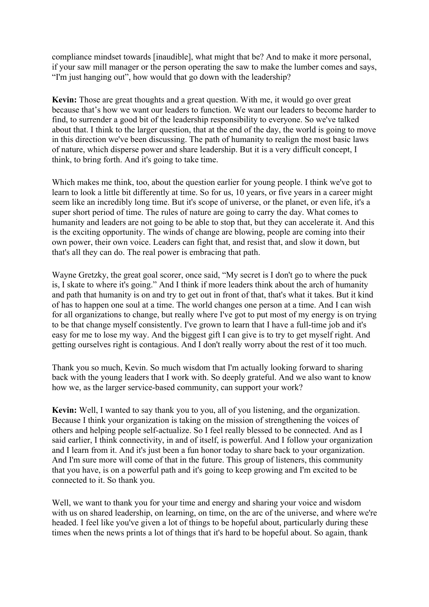compliance mindset towards [inaudible], what might that be? And to make it more personal, if your saw mill manager or the person operating the saw to make the lumber comes and says, "I'm just hanging out", how would that go down with the leadership?

**Kevin:** Those are great thoughts and a great question. With me, it would go over great because that's how we want our leaders to function. We want our leaders to become harder to find, to surrender a good bit of the leadership responsibility to everyone. So we've talked about that. I think to the larger question, that at the end of the day, the world is going to move in this direction we've been discussing. The path of humanity to realign the most basic laws of nature, which disperse power and share leadership. But it is a very difficult concept, I think, to bring forth. And it's going to take time.

Which makes me think, too, about the question earlier for young people. I think we've got to learn to look a little bit differently at time. So for us, 10 years, or five years in a career might seem like an incredibly long time. But it's scope of universe, or the planet, or even life, it's a super short period of time. The rules of nature are going to carry the day. What comes to humanity and leaders are not going to be able to stop that, but they can accelerate it. And this is the exciting opportunity. The winds of change are blowing, people are coming into their own power, their own voice. Leaders can fight that, and resist that, and slow it down, but that's all they can do. The real power is embracing that path.

Wayne Gretzky, the great goal scorer, once said, "My secret is I don't go to where the puck is, I skate to where it's going." And I think if more leaders think about the arch of humanity and path that humanity is on and try to get out in front of that, that's what it takes. But it kind of has to happen one soul at a time. The world changes one person at a time. And I can wish for all organizations to change, but really where I've got to put most of my energy is on trying to be that change myself consistently. I've grown to learn that I have a full-time job and it's easy for me to lose my way. And the biggest gift I can give is to try to get myself right. And getting ourselves right is contagious. And I don't really worry about the rest of it too much.

Thank you so much, Kevin. So much wisdom that I'm actually looking forward to sharing back with the young leaders that I work with. So deeply grateful. And we also want to know how we, as the larger service-based community, can support your work?

**Kevin:** Well, I wanted to say thank you to you, all of you listening, and the organization. Because I think your organization is taking on the mission of strengthening the voices of others and helping people self-actualize. So I feel really blessed to be connected. And as I said earlier, I think connectivity, in and of itself, is powerful. And I follow your organization and I learn from it. And it's just been a fun honor today to share back to your organization. And I'm sure more will come of that in the future. This group of listeners, this community that you have, is on a powerful path and it's going to keep growing and I'm excited to be connected to it. So thank you.

Well, we want to thank you for your time and energy and sharing your voice and wisdom with us on shared leadership, on learning, on time, on the arc of the universe, and where we're headed. I feel like you've given a lot of things to be hopeful about, particularly during these times when the news prints a lot of things that it's hard to be hopeful about. So again, thank